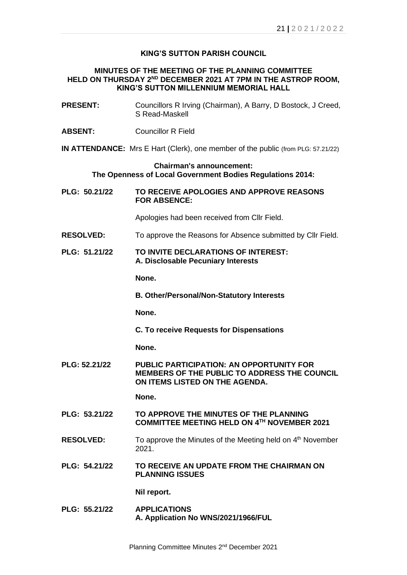# **KING'S SUTTON PARISH COUNCIL**

### **MINUTES OF THE MEETING OF THE PLANNING COMMITTEE HELD ON THURSDAY 2 ND DECEMBER 2021 AT 7PM IN THE ASTROP ROOM, KING'S SUTTON MILLENNIUM MEMORIAL HALL**

| <b>PRESENT:</b>                                                                              | Councillors R Irving (Chairman), A Barry, D Bostock, J Creed,<br>S Read-Maskell                                                          |
|----------------------------------------------------------------------------------------------|------------------------------------------------------------------------------------------------------------------------------------------|
| <b>ABSENT:</b>                                                                               | <b>Councillor R Field</b>                                                                                                                |
|                                                                                              | <b>IN ATTENDANCE:</b> Mrs E Hart (Clerk), one member of the public (from PLG: 57.21/22)                                                  |
| <b>Chairman's announcement:</b><br>The Openness of Local Government Bodies Regulations 2014: |                                                                                                                                          |
| PLG: 50.21/22                                                                                | TO RECEIVE APOLOGIES AND APPROVE REASONS<br><b>FOR ABSENCE:</b>                                                                          |
|                                                                                              | Apologies had been received from Cllr Field.                                                                                             |
| <b>RESOLVED:</b>                                                                             | To approve the Reasons for Absence submitted by Cllr Field.                                                                              |
| PLG: 51.21/22                                                                                | TO INVITE DECLARATIONS OF INTEREST:<br>A. Disclosable Pecuniary Interests                                                                |
|                                                                                              | None.                                                                                                                                    |
|                                                                                              | <b>B. Other/Personal/Non-Statutory Interests</b>                                                                                         |
|                                                                                              | None.                                                                                                                                    |
|                                                                                              | <b>C. To receive Requests for Dispensations</b>                                                                                          |
|                                                                                              | None.                                                                                                                                    |
| PLG: 52.21/22                                                                                | <b>PUBLIC PARTICIPATION: AN OPPORTUNITY FOR</b><br><b>MEMBERS OF THE PUBLIC TO ADDRESS THE COUNCIL</b><br>ON ITEMS LISTED ON THE AGENDA. |
|                                                                                              | None.                                                                                                                                    |
| PLG: 53.21/22                                                                                | TO APPROVE THE MINUTES OF THE PLANNING<br>COMMITTEE MEETING HELD ON 4TH NOVEMBER 2021                                                    |
| <b>RESOLVED:</b>                                                                             | To approve the Minutes of the Meeting held on 4 <sup>th</sup> November<br>2021.                                                          |
| PLG: 54.21/22                                                                                | TO RECEIVE AN UPDATE FROM THE CHAIRMAN ON<br><b>PLANNING ISSUES</b>                                                                      |
|                                                                                              | Nil report.                                                                                                                              |
| PLG: 55.21/22                                                                                | <b>APPLICATIONS</b><br>A. Application No WNS/2021/1966/FUL                                                                               |